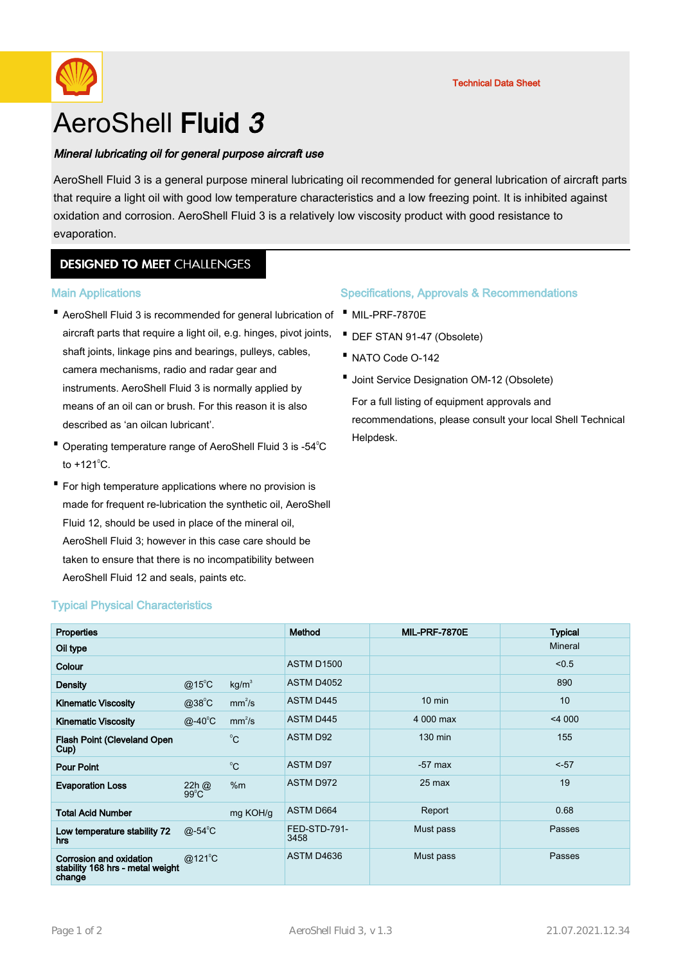

# AeroShell Fluid 3

### Mineral lubricating oil for general purpose aircraft use

AeroShell Fluid 3 is a general purpose mineral lubricating oil recommended for general lubrication of aircraft parts that require a light oil with good low temperature characteristics and a low freezing point. It is inhibited against oxidation and corrosion. AeroShell Fluid 3 is a relatively low viscosity product with good resistance to evaporation.

# **DESIGNED TO MEET CHALLENGES**

#### Main Applications

- AeroShell Fluid 3 is recommended for general lubrication of · · MIL-PRF-7870E aircraft parts that require a light oil, e.g. hinges, pivot joints, shaft joints, linkage pins and bearings, pulleys, cables, camera mechanisms, radio and radar gear and instruments. AeroShell Fluid 3 is normally applied by means of an oil can or brush. For this reason it is also described as 'an oilcan lubricant'.
- Operating temperature range of AeroShell Fluid 3 is -54°C to  $+121^{\circ}$ C.
- For high temperature applications where no provision is made for frequent re-lubrication the synthetic oil, AeroShell Fluid 12, should be used in place of the mineral oil, AeroShell Fluid 3; however in this case care should be taken to ensure that there is no incompatibility between AeroShell Fluid 12 and seals, paints etc.

### Specifications, Approvals & Recommendations

- - · DEF STAN 91-47 (Obsolete)
- · NATO Code O-142
- · Joint Service Designation OM-12 (Obsolete) For a full listing of equipment approvals and recommendations, please consult your local Shell Technical Helpdesk.

| <b>Properties</b>                                                     |                           |                    | Method               | MIL-PRF-7870E    | <b>Typical</b> |
|-----------------------------------------------------------------------|---------------------------|--------------------|----------------------|------------------|----------------|
| Oil type                                                              |                           |                    |                      |                  | Mineral        |
| Colour                                                                |                           |                    | <b>ASTM D1500</b>    |                  | < 0.5          |
| <b>Density</b>                                                        | $@15^{\circ}$ C           | kg/m <sup>3</sup>  | <b>ASTM D4052</b>    |                  | 890            |
| <b>Kinematic Viscosity</b>                                            | $@38^{\circ}C$            | mm <sup>2</sup> /s | ASTM D445            | $10 \text{ min}$ | 10             |
| <b>Kinematic Viscosity</b>                                            | $@ - 40^\circ C$          | mm <sup>2</sup> /s | ASTM D445            | 4 000 max        | $<$ 4 000      |
| <b>Flash Point (Cleveland Open</b><br>Cup)                            |                           | $^{\circ}C$        | <b>ASTM D92</b>      | 130 min          | 155            |
| <b>Pour Point</b>                                                     |                           | $^{\circ}C$        | ASTM D97             | $-57$ max        | $-57$          |
| <b>Evaporation Loss</b>                                               | 22h @<br>$99^{\circ}$ C   | %m                 | ASTM D972            | $25$ max         | 19             |
| <b>Total Acid Number</b>                                              |                           | mg KOH/g           | ASTM D664            | Report           | 0.68           |
| Low temperature stability 72<br>hrs                                   | @-54 $\mathrm{^{\circ}C}$ |                    | FED-STD-791-<br>3458 | Must pass        | Passes         |
| Corrosion and oxidation<br>stability 168 hrs - metal weight<br>change | $@121^{\circ}$ C          |                    | ASTM D4636           | Must pass        | Passes         |

# Typical Physical Characteristics